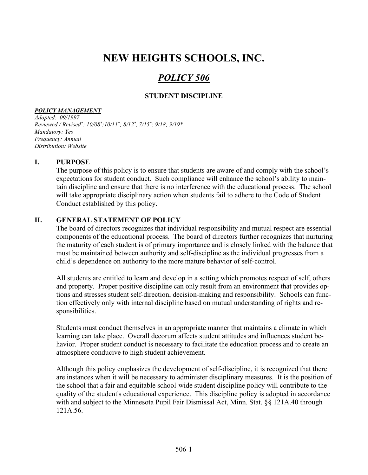# NEW HEIGHTS SCHOOLS, INC.

# POLICY 506

# STUDENT DISCIPLINE

#### POLICY MANAGEMENT

Adopted: 09/1997 Reviewed / Revised\*: 10/08\*;10/11\*; 8/12\*, 7/15\*; 9/18; 9/19\* Mandatory: Yes Frequency: Annual Distribution: Website

### I. PURPOSE

The purpose of this policy is to ensure that students are aware of and comply with the school's expectations for student conduct. Such compliance will enhance the school's ability to maintain discipline and ensure that there is no interference with the educational process. The school will take appropriate disciplinary action when students fail to adhere to the Code of Student Conduct established by this policy.

### II. GENERAL STATEMENT OF POLICY

The board of directors recognizes that individual responsibility and mutual respect are essential components of the educational process. The board of directors further recognizes that nurturing the maturity of each student is of primary importance and is closely linked with the balance that must be maintained between authority and self-discipline as the individual progresses from a child's dependence on authority to the more mature behavior of self-control.

All students are entitled to learn and develop in a setting which promotes respect of self, others and property. Proper positive discipline can only result from an environment that provides options and stresses student self-direction, decision-making and responsibility. Schools can function effectively only with internal discipline based on mutual understanding of rights and responsibilities.

Students must conduct themselves in an appropriate manner that maintains a climate in which learning can take place. Overall decorum affects student attitudes and influences student behavior. Proper student conduct is necessary to facilitate the education process and to create an atmosphere conducive to high student achievement.

Although this policy emphasizes the development of self-discipline, it is recognized that there are instances when it will be necessary to administer disciplinary measures. It is the position of the school that a fair and equitable school-wide student discipline policy will contribute to the quality of the student's educational experience. This discipline policy is adopted in accordance with and subject to the Minnesota Pupil Fair Dismissal Act, Minn. Stat. §§ 121A.40 through 121A.56.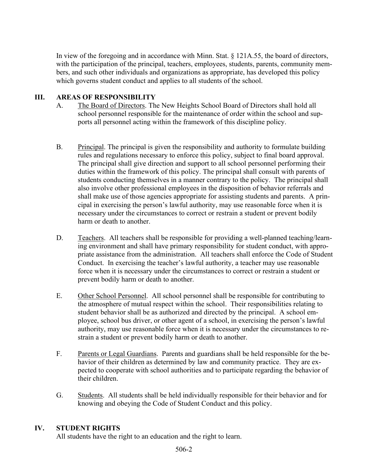In view of the foregoing and in accordance with Minn. Stat. § 121A.55, the board of directors, with the participation of the principal, teachers, employees, students, parents, community members, and such other individuals and organizations as appropriate, has developed this policy which governs student conduct and applies to all students of the school.

# III. AREAS OF RESPONSIBILITY

- A. The Board of Directors. The New Heights School Board of Directors shall hold all school personnel responsible for the maintenance of order within the school and supports all personnel acting within the framework of this discipline policy.
- B. Principal. The principal is given the responsibility and authority to formulate building rules and regulations necessary to enforce this policy, subject to final board approval. The principal shall give direction and support to all school personnel performing their duties within the framework of this policy. The principal shall consult with parents of students conducting themselves in a manner contrary to the policy. The principal shall also involve other professional employees in the disposition of behavior referrals and shall make use of those agencies appropriate for assisting students and parents. A principal in exercising the person's lawful authority, may use reasonable force when it is necessary under the circumstances to correct or restrain a student or prevent bodily harm or death to another.
- D. Teachers. All teachers shall be responsible for providing a well-planned teaching/learning environment and shall have primary responsibility for student conduct, with appropriate assistance from the administration. All teachers shall enforce the Code of Student Conduct. In exercising the teacher's lawful authority, a teacher may use reasonable force when it is necessary under the circumstances to correct or restrain a student or prevent bodily harm or death to another.
- E. Other School Personnel. All school personnel shall be responsible for contributing to the atmosphere of mutual respect within the school. Their responsibilities relating to student behavior shall be as authorized and directed by the principal. A school employee, school bus driver, or other agent of a school, in exercising the person's lawful authority, may use reasonable force when it is necessary under the circumstances to restrain a student or prevent bodily harm or death to another.
- F. Parents or Legal Guardians. Parents and guardians shall be held responsible for the behavior of their children as determined by law and community practice. They are expected to cooperate with school authorities and to participate regarding the behavior of their children.
- G. Students. All students shall be held individually responsible for their behavior and for knowing and obeying the Code of Student Conduct and this policy.

# IV. STUDENT RIGHTS

All students have the right to an education and the right to learn.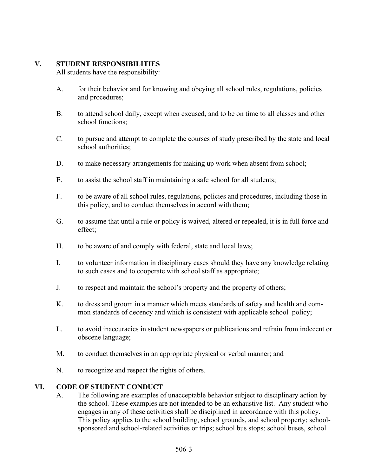# V. STUDENT RESPONSIBILITIES

All students have the responsibility:

- A. for their behavior and for knowing and obeying all school rules, regulations, policies and procedures;
- B. to attend school daily, except when excused, and to be on time to all classes and other school functions;
- C. to pursue and attempt to complete the courses of study prescribed by the state and local school authorities;
- D. to make necessary arrangements for making up work when absent from school;
- E. to assist the school staff in maintaining a safe school for all students;
- F. to be aware of all school rules, regulations, policies and procedures, including those in this policy, and to conduct themselves in accord with them;
- G. to assume that until a rule or policy is waived, altered or repealed, it is in full force and effect;
- H. to be aware of and comply with federal, state and local laws;
- I. to volunteer information in disciplinary cases should they have any knowledge relating to such cases and to cooperate with school staff as appropriate;
- J. to respect and maintain the school's property and the property of others;
- K. to dress and groom in a manner which meets standards of safety and health and common standards of decency and which is consistent with applicable school policy;
- L. to avoid inaccuracies in student newspapers or publications and refrain from indecent or obscene language;
- M. to conduct themselves in an appropriate physical or verbal manner; and
- N. to recognize and respect the rights of others.

# VI. CODE OF STUDENT CONDUCT

A. The following are examples of unacceptable behavior subject to disciplinary action by the school. These examples are not intended to be an exhaustive list. Any student who engages in any of these activities shall be disciplined in accordance with this policy. This policy applies to the school building, school grounds, and school property; schoolsponsored and school-related activities or trips; school bus stops; school buses, school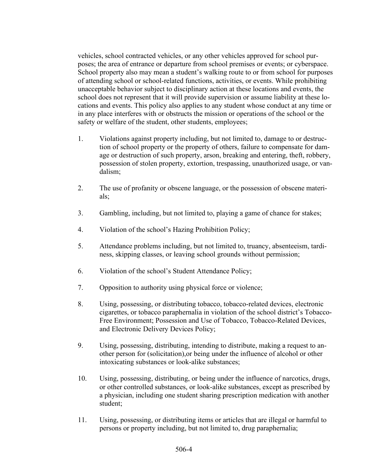vehicles, school contracted vehicles, or any other vehicles approved for school purposes; the area of entrance or departure from school premises or events; or cyberspace. School property also may mean a student's walking route to or from school for purposes of attending school or school-related functions, activities, or events. While prohibiting unacceptable behavior subject to disciplinary action at these locations and events, the school does not represent that it will provide supervision or assume liability at these locations and events. This policy also applies to any student whose conduct at any time or in any place interferes with or obstructs the mission or operations of the school or the safety or welfare of the student, other students, employees;

- 1. Violations against property including, but not limited to, damage to or destruction of school property or the property of others, failure to compensate for damage or destruction of such property, arson, breaking and entering, theft, robbery, possession of stolen property, extortion, trespassing, unauthorized usage, or vandalism;
- 2. The use of profanity or obscene language, or the possession of obscene materials;
- 3. Gambling, including, but not limited to, playing a game of chance for stakes;
- 4. Violation of the school's Hazing Prohibition Policy;
- 5. Attendance problems including, but not limited to, truancy, absenteeism, tardiness, skipping classes, or leaving school grounds without permission;
- 6. Violation of the school's Student Attendance Policy;
- 7. Opposition to authority using physical force or violence;
- 8. Using, possessing, or distributing tobacco, tobacco-related devices, electronic cigarettes, or tobacco paraphernalia in violation of the school district's Tobacco- Free Environment; Possession and Use of Tobacco, Tobacco-Related Devices, and Electronic Delivery Devices Policy;
- 9. Using, possessing, distributing, intending to distribute, making a request to another person for (solicitation),or being under the influence of alcohol or other intoxicating substances or look-alike substances;
- 10. Using, possessing, distributing, or being under the influence of narcotics, drugs, or other controlled substances, or look-alike substances, except as prescribed by a physician, including one student sharing prescription medication with another student;
- 11. Using, possessing, or distributing items or articles that are illegal or harmful to persons or property including, but not limited to, drug paraphernalia;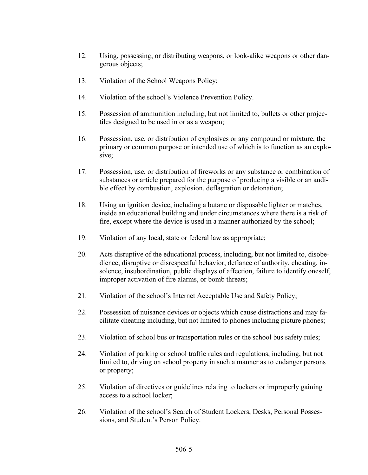- 12. Using, possessing, or distributing weapons, or look-alike weapons or other dangerous objects;
- 13. Violation of the School Weapons Policy;
- 14. Violation of the school's Violence Prevention Policy.
- 15. Possession of ammunition including, but not limited to, bullets or other projectiles designed to be used in or as a weapon;
- 16. Possession, use, or distribution of explosives or any compound or mixture, the primary or common purpose or intended use of which is to function as an explosive;
- 17. Possession, use, or distribution of fireworks or any substance or combination of substances or article prepared for the purpose of producing a visible or an audible effect by combustion, explosion, deflagration or detonation;
- 18. Using an ignition device, including a butane or disposable lighter or matches, inside an educational building and under circumstances where there is a risk of fire, except where the device is used in a manner authorized by the school;
- 19. Violation of any local, state or federal law as appropriate;
- 20. Acts disruptive of the educational process, including, but not limited to, disobedience, disruptive or disrespectful behavior, defiance of authority, cheating, insolence, insubordination, public displays of affection, failure to identify oneself, improper activation of fire alarms, or bomb threats;
- 21. Violation of the school's Internet Acceptable Use and Safety Policy;
- 22. Possession of nuisance devices or objects which cause distractions and may facilitate cheating including, but not limited to phones including picture phones;
- 23. Violation of school bus or transportation rules or the school bus safety rules;
- 24. Violation of parking or school traffic rules and regulations, including, but not limited to, driving on school property in such a manner as to endanger persons or property;
- 25. Violation of directives or guidelines relating to lockers or improperly gaining access to a school locker;
- 26. Violation of the school's Search of Student Lockers, Desks, Personal Possessions, and Student's Person Policy.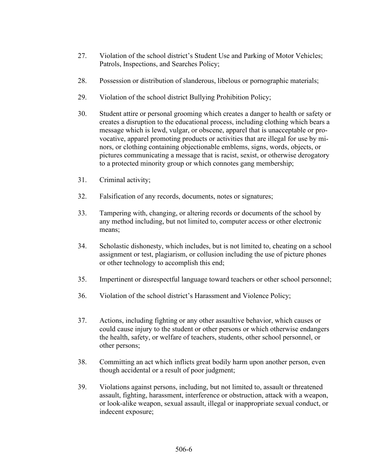- 27. Violation of the school district's Student Use and Parking of Motor Vehicles; Patrols, Inspections, and Searches Policy;
- 28. Possession or distribution of slanderous, libelous or pornographic materials;
- 29. Violation of the school district Bullying Prohibition Policy;
- 30. Student attire or personal grooming which creates a danger to health or safety or creates a disruption to the educational process, including clothing which bears a message which is lewd, vulgar, or obscene, apparel that is unacceptable or provocative, apparel promoting products or activities that are illegal for use by minors, or clothing containing objectionable emblems, signs, words, objects, or pictures communicating a message that is racist, sexist, or otherwise derogatory to a protected minority group or which connotes gang membership;
- 31. Criminal activity;
- 32. Falsification of any records, documents, notes or signatures;
- 33. Tampering with, changing, or altering records or documents of the school by any method including, but not limited to, computer access or other electronic means;
- 34. Scholastic dishonesty, which includes, but is not limited to, cheating on a school assignment or test, plagiarism, or collusion including the use of picture phones or other technology to accomplish this end;
- 35. Impertinent or disrespectful language toward teachers or other school personnel;
- 36. Violation of the school district's Harassment and Violence Policy;
- 37. Actions, including fighting or any other assaultive behavior, which causes or could cause injury to the student or other persons or which otherwise endangers the health, safety, or welfare of teachers, students, other school personnel, or other persons;
- 38. Committing an act which inflicts great bodily harm upon another person, even though accidental or a result of poor judgment;
- 39. Violations against persons, including, but not limited to, assault or threatened assault, fighting, harassment, interference or obstruction, attack with a weapon, or look-alike weapon, sexual assault, illegal or inappropriate sexual conduct, or indecent exposure;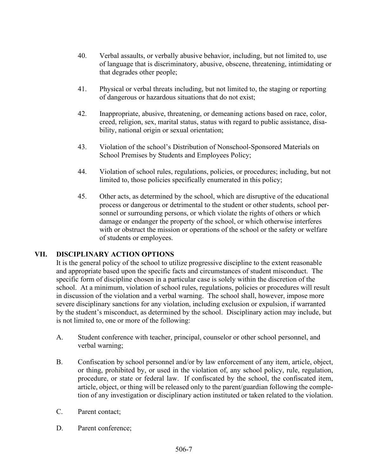- 40. Verbal assaults, or verbally abusive behavior, including, but not limited to, use of language that is discriminatory, abusive, obscene, threatening, intimidating or that degrades other people;
- 41. Physical or verbal threats including, but not limited to, the staging or reporting of dangerous or hazardous situations that do not exist;
- 42. Inappropriate, abusive, threatening, or demeaning actions based on race, color, creed, religion, sex, marital status, status with regard to public assistance, disability, national origin or sexual orientation;
- 43. Violation of the school's Distribution of Nonschool-Sponsored Materials on School Premises by Students and Employees Policy;
- 44. Violation of school rules, regulations, policies, or procedures; including, but not limited to, those policies specifically enumerated in this policy;
- 45. Other acts, as determined by the school, which are disruptive of the educational process or dangerous or detrimental to the student or other students, school personnel or surrounding persons, or which violate the rights of others or which damage or endanger the property of the school, or which otherwise interferes with or obstruct the mission or operations of the school or the safety or welfare of students or employees.

# VII. DISCIPLINARY ACTION OPTIONS

It is the general policy of the school to utilize progressive discipline to the extent reasonable and appropriate based upon the specific facts and circumstances of student misconduct. The specific form of discipline chosen in a particular case is solely within the discretion of the school. At a minimum, violation of school rules, regulations, policies or procedures will result in discussion of the violation and a verbal warning. The school shall, however, impose more severe disciplinary sanctions for any violation, including exclusion or expulsion, if warranted by the student's misconduct, as determined by the school. Disciplinary action may include, but is not limited to, one or more of the following:

- A. Student conference with teacher, principal, counselor or other school personnel, and verbal warning;
- B. Confiscation by school personnel and/or by law enforcement of any item, article, object, or thing, prohibited by, or used in the violation of, any school policy, rule, regulation, procedure, or state or federal law. If confiscated by the school, the confiscated item, article, object, or thing will be released only to the parent/guardian following the completion of any investigation or disciplinary action instituted or taken related to the violation.
- C. Parent contact;
- D. Parent conference;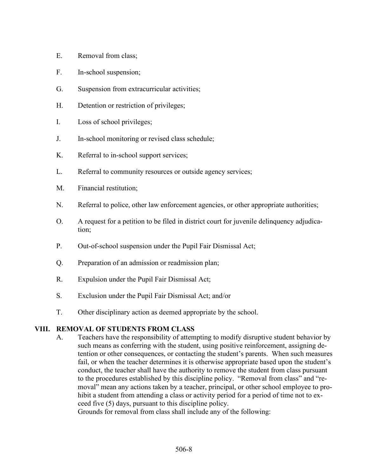- E. Removal from class;
- F. In-school suspension;
- G. Suspension from extracurricular activities;
- H. Detention or restriction of privileges;
- I. Loss of school privileges;
- J. In-school monitoring or revised class schedule;
- K. Referral to in-school support services;
- L. Referral to community resources or outside agency services;
- M. Financial restitution;
- N. Referral to police, other law enforcement agencies, or other appropriate authorities;
- O. A request for a petition to be filed in district court for juvenile delinquency adjudication;
- P. Out-of-school suspension under the Pupil Fair Dismissal Act;
- Q. Preparation of an admission or readmission plan;
- R. Expulsion under the Pupil Fair Dismissal Act;
- S. Exclusion under the Pupil Fair Dismissal Act; and/or
- T. Other disciplinary action as deemed appropriate by the school.

VIII. REMOVAL OF STUDENTS FROM CLASS<br>A. Teachers have the responsibility of attempting to modify disruptive student behavior by such means as conferring with the student, using positive reinforcement, assigning detention or other consequences, or contacting the student's parents. When such measures fail, or when the teacher determines it is otherwise appropriate based upon the student's conduct, the teacher shall have the authority to remove the student from class pursuant to the procedures established by this discipline policy. "Removal from class" and "removal" mean any actions taken by a teacher, principal, or other school employee to prohibit a student from attending a class or activity period for a period of time not to exceed five (5) days, pursuant to this discipline policy.

Grounds for removal from class shall include any of the following: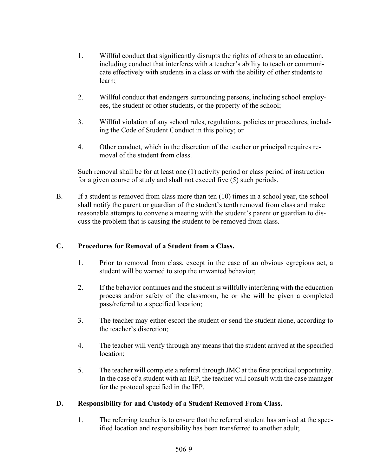- 1. Willful conduct that significantly disrupts the rights of others to an education, including conduct that interferes with a teacher's ability to teach or communicate effectively with students in a class or with the ability of other students to learn;
- 2. Willful conduct that endangers surrounding persons, including school employees, the student or other students, or the property of the school;
- 3. Willful violation of any school rules, regulations, policies or procedures, including the Code of Student Conduct in this policy; or
- 4. Other conduct, which in the discretion of the teacher or principal requires removal of the student from class.

Such removal shall be for at least one (1) activity period or class period of instruction for a given course of study and shall not exceed five (5) such periods.

 B. If a student is removed from class more than ten (10) times in a school year, the school shall notify the parent or guardian of the student's tenth removal from class and make reasonable attempts to convene a meeting with the student's parent or guardian to discuss the problem that is causing the student to be removed from class.

# C. Procedures for Removal of a Student from a Class.

- 1. Prior to removal from class, except in the case of an obvious egregious act, a student will be warned to stop the unwanted behavior;
- 2. If the behavior continues and the student is willfully interfering with the education process and/or safety of the classroom, he or she will be given a completed pass/referral to a specified location;
- 3. The teacher may either escort the student or send the student alone, according to the teacher's discretion;
- 4. The teacher will verify through any means that the student arrived at the specified location;
- 5. The teacher will complete a referral through JMC at the first practical opportunity. In the case of a student with an IEP, the teacher will consult with the case manager for the protocol specified in the IEP.

# D. Responsibility for and Custody of a Student Removed From Class.

1. The referring teacher is to ensure that the referred student has arrived at the specified location and responsibility has been transferred to another adult;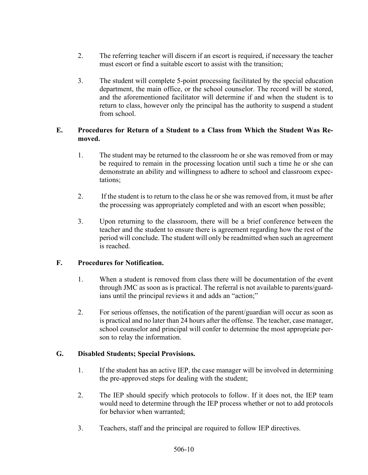- 2. The referring teacher will discern if an escort is required, if necessary the teacher must escort or find a suitable escort to assist with the transition;
- 3. The student will complete 5-point processing facilitated by the special education department, the main office, or the school counselor. The record will be stored, and the aforementioned facilitator will determine if and when the student is to return to class, however only the principal has the authority to suspend a student from school.

# E. Procedures for Return of a Student to a Class from Which the Student Was Removed.

- 1. The student may be returned to the classroom he or she was removed from or may be required to remain in the processing location until such a time he or she can demonstrate an ability and willingness to adhere to school and classroom expectations;
- 2. If the student is to return to the class he or she was removed from, it must be after the processing was appropriately completed and with an escort when possible;
- 3. Upon returning to the classroom, there will be a brief conference between the teacher and the student to ensure there is agreement regarding how the rest of the period will conclude. The student will only be readmitted when such an agreement is reached.

# F. Procedures for Notification.

- 1. When a student is removed from class there will be documentation of the event through JMC as soon as is practical. The referral is not available to parents/guardians until the principal reviews it and adds an "action;"
- 2. For serious offenses, the notification of the parent/guardian will occur as soon as is practical and no later than 24 hours after the offense. The teacher, case manager, school counselor and principal will confer to determine the most appropriate person to relay the information.

# G. Disabled Students; Special Provisions.

- 1. If the student has an active IEP, the case manager will be involved in determining the pre-approved steps for dealing with the student;
- 2. The IEP should specify which protocols to follow. If it does not, the IEP team would need to determine through the IEP process whether or not to add protocols for behavior when warranted;
- 3. Teachers, staff and the principal are required to follow IEP directives.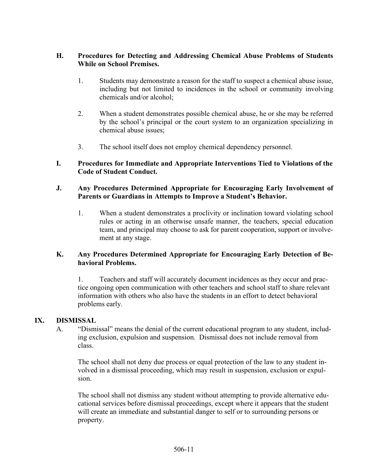# H. Procedures for Detecting and Addressing Chemical Abuse Problems of Students While on School Premises.

- 1. Students may demonstrate a reason for the staff to suspect a chemical abuse issue, including but not limited to incidences in the school or community involving chemicals and/or alcohol;
- 2. When a student demonstrates possible chemical abuse, he or she may be referred by the school's principal or the court system to an organization specializing in chemical abuse issues;
- 3. The school itself does not employ chemical dependency personnel.

# I. Procedures for Immediate and Appropriate Interventions Tied to Violations of the Code of Student Conduct.

#### J. Any Procedures Determined Appropriate for Encouraging Early Involvement of Parents or Guardians in Attempts to Improve a Student's Behavior.

1. When a student demonstrates a proclivity or inclination toward violating school rules or acting in an otherwise unsafe manner, the teachers, special education team, and principal may choose to ask for parent cooperation, support or involvement at any stage.

### K. Any Procedures Determined Appropriate for Encouraging Early Detection of Behavioral Problems.

1. Teachers and staff will accurately document incidences as they occur and practice ongoing open communication with other teachers and school staff to share relevant information with others who also have the students in an effort to detect behavioral problems early.

IX. DISMISSAL <br>A. "Dismissal" means the denial of the current educational program to any student, including exclusion, expulsion and suspension. Dismissal does not include removal from class.

> The school shall not deny due process or equal protection of the law to any student involved in a dismissal proceeding, which may result in suspension, exclusion or expulsion.

> The school shall not dismiss any student without attempting to provide alternative educational services before dismissal proceedings, except where it appears that the student will create an immediate and substantial danger to self or to surrounding persons or property.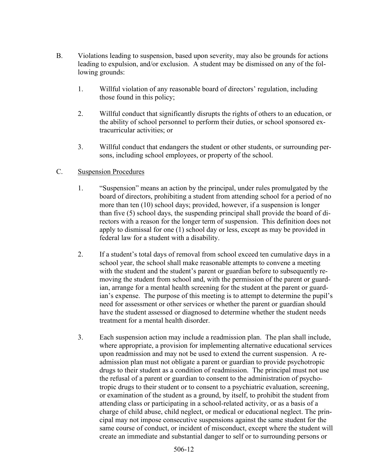- B. Violations leading to suspension, based upon severity, may also be grounds for actions leading to expulsion, and/or exclusion. A student may be dismissed on any of the following grounds:
	- 1. Willful violation of any reasonable board of directors' regulation, including those found in this policy;
	- 2. Willful conduct that significantly disrupts the rights of others to an education, or the ability of school personnel to perform their duties, or school sponsored extracurricular activities; or
	- 3. Willful conduct that endangers the student or other students, or surrounding persons, including school employees, or property of the school.

# C. Suspension Procedures

- 1. "Suspension" means an action by the principal, under rules promulgated by the board of directors, prohibiting a student from attending school for a period of no more than ten (10) school days; provided, however, if a suspension is longer than five (5) school days, the suspending principal shall provide the board of directors with a reason for the longer term of suspension. This definition does not apply to dismissal for one (1) school day or less, except as may be provided in federal law for a student with a disability.
- 2. If a student's total days of removal from school exceed ten cumulative days in a school year, the school shall make reasonable attempts to convene a meeting with the student and the student's parent or guardian before to subsequently removing the student from school and, with the permission of the parent or guardian, arrange for a mental health screening for the student at the parent or guardian's expense. The purpose of this meeting is to attempt to determine the pupil's need for assessment or other services or whether the parent or guardian should have the student assessed or diagnosed to determine whether the student needs treatment for a mental health disorder.
- 3. Each suspension action may include a readmission plan. The plan shall include, where appropriate, a provision for implementing alternative educational services upon readmission and may not be used to extend the current suspension. A readmission plan must not obligate a parent or guardian to provide psychotropic drugs to their student as a condition of readmission. The principal must not use the refusal of a parent or guardian to consent to the administration of psychotropic drugs to their student or to consent to a psychiatric evaluation, screening, or examination of the student as a ground, by itself, to prohibit the student from attending class or participating in a school-related activity, or as a basis of a charge of child abuse, child neglect, or medical or educational neglect. The principal may not impose consecutive suspensions against the same student for the same course of conduct, or incident of misconduct, except where the student will create an immediate and substantial danger to self or to surrounding persons or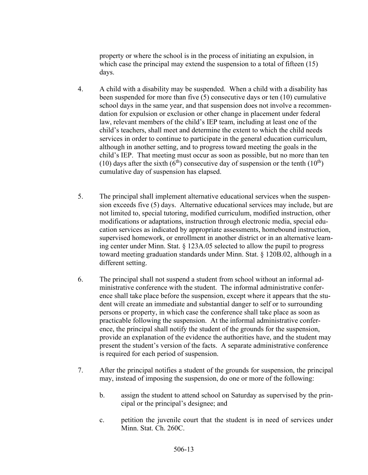property or where the school is in the process of initiating an expulsion, in which case the principal may extend the suspension to a total of fifteen (15) days.

- 4. A child with a disability may be suspended. When a child with a disability has been suspended for more than five (5) consecutive days or ten (10) cumulative school days in the same year, and that suspension does not involve a recommendation for expulsion or exclusion or other change in placement under federal law, relevant members of the child's IEP team, including at least one of the child's teachers, shall meet and determine the extent to which the child needs services in order to continue to participate in the general education curriculum, although in another setting, and to progress toward meeting the goals in the child's IEP. That meeting must occur as soon as possible, but no more than ten (10) days after the sixth  $(6<sup>th</sup>)$  consecutive day of suspension or the tenth  $(10<sup>th</sup>)$ cumulative day of suspension has elapsed.
- 5. The principal shall implement alternative educational services when the suspension exceeds five (5) days. Alternative educational services may include, but are not limited to, special tutoring, modified curriculum, modified instruction, other modifications or adaptations, instruction through electronic media, special education services as indicated by appropriate assessments, homebound instruction, supervised homework, or enrollment in another district or in an alternative learning center under Minn. Stat. § 123A.05 selected to allow the pupil to progress toward meeting graduation standards under Minn. Stat. § 120B.02, although in a different setting.
- 6. The principal shall not suspend a student from school without an informal administrative conference with the student. The informal administrative conference shall take place before the suspension, except where it appears that the student will create an immediate and substantial danger to self or to surrounding persons or property, in which case the conference shall take place as soon as practicable following the suspension. At the informal administrative conference, the principal shall notify the student of the grounds for the suspension, provide an explanation of the evidence the authorities have, and the student may present the student's version of the facts. A separate administrative conference is required for each period of suspension.
- 7. After the principal notifies a student of the grounds for suspension, the principal may, instead of imposing the suspension, do one or more of the following:
	- b. assign the student to attend school on Saturday as supervised by the principal or the principal's designee; and
	- c. petition the juvenile court that the student is in need of services under Minn. Stat. Ch. 260C.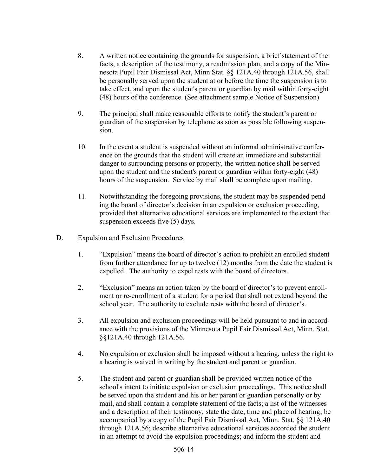- 8. A written notice containing the grounds for suspension, a brief statement of the facts, a description of the testimony, a readmission plan, and a copy of the Minnesota Pupil Fair Dismissal Act, Minn Stat. §§ 121A.40 through 121A.56, shall be personally served upon the student at or before the time the suspension is to take effect, and upon the student's parent or guardian by mail within forty-eight (48) hours of the conference. (See attachment sample Notice of Suspension)
- 9. The principal shall make reasonable efforts to notify the student's parent or guardian of the suspension by telephone as soon as possible following suspension.
- 10. In the event a student is suspended without an informal administrative conference on the grounds that the student will create an immediate and substantial danger to surrounding persons or property, the written notice shall be served upon the student and the student's parent or guardian within forty-eight (48) hours of the suspension. Service by mail shall be complete upon mailing.
- 11. Notwithstanding the foregoing provisions, the student may be suspended pending the board of director's decision in an expulsion or exclusion proceeding, provided that alternative educational services are implemented to the extent that suspension exceeds five (5) days.

#### D. Expulsion and Exclusion Procedures

- 1. "Expulsion" means the board of director's action to prohibit an enrolled student from further attendance for up to twelve (12) months from the date the student is expelled. The authority to expel rests with the board of directors.
- 2. "Exclusion" means an action taken by the board of director's to prevent enrollment or re-enrollment of a student for a period that shall not extend beyond the school year. The authority to exclude rests with the board of director's.
- 3. All expulsion and exclusion proceedings will be held pursuant to and in accordance with the provisions of the Minnesota Pupil Fair Dismissal Act, Minn. Stat. §§121A.40 through 121A.56.
- 4. No expulsion or exclusion shall be imposed without a hearing, unless the right to a hearing is waived in writing by the student and parent or guardian.
- 5. The student and parent or guardian shall be provided written notice of the school's intent to initiate expulsion or exclusion proceedings. This notice shall be served upon the student and his or her parent or guardian personally or by mail, and shall contain a complete statement of the facts; a list of the witnesses and a description of their testimony; state the date, time and place of hearing; be accompanied by a copy of the Pupil Fair Dismissal Act, Minn. Stat. §§ 121A.40 through 121A.56; describe alternative educational services accorded the student in an attempt to avoid the expulsion proceedings; and inform the student and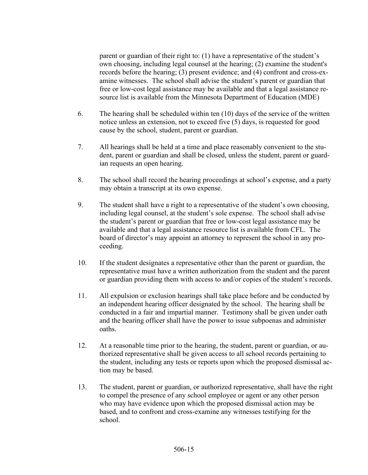parent or guardian of their right to: (1) have a representative of the student's own choosing, including legal counsel at the hearing; (2) examine the student's records before the hearing; (3) present evidence; and (4) confront and cross-examine witnesses. The school shall advise the student's parent or guardian that free or low-cost legal assistance may be available and that a legal assistance resource list is available from the Minnesota Department of Education (MDE)

- 6. The hearing shall be scheduled within ten (10) days of the service of the written notice unless an extension, not to exceed five (5) days, is requested for good cause by the school, student, parent or guardian.
- 7. All hearings shall be held at a time and place reasonably convenient to the student, parent or guardian and shall be closed, unless the student, parent or guardian requests an open hearing.
- 8. The school shall record the hearing proceedings at school's expense, and a party may obtain a transcript at its own expense.
- 9. The student shall have a right to a representative of the student's own choosing, including legal counsel, at the student's sole expense. The school shall advise the student's parent or guardian that free or low-cost legal assistance may be available and that a legal assistance resource list is available from CFL. The board of director's may appoint an attorney to represent the school in any proceeding.
- 10. If the student designates a representative other than the parent or guardian, the representative must have a written authorization from the student and the parent or guardian providing them with access to and/or copies of the student's records.
- 11. All expulsion or exclusion hearings shall take place before and be conducted by an independent hearing officer designated by the school. The hearing shall be conducted in a fair and impartial manner. Testimony shall be given under oath and the hearing officer shall have the power to issue subpoenas and administer oaths.
- 12. At a reasonable time prior to the hearing, the student, parent or guardian, or authorized representative shall be given access to all school records pertaining to the student, including any tests or reports upon which the proposed dismissal action may be based.
- 13. The student, parent or guardian, or authorized representative, shall have the right to compel the presence of any school employee or agent or any other person who may have evidence upon which the proposed dismissal action may be based, and to confront and cross-examine any witnesses testifying for the school.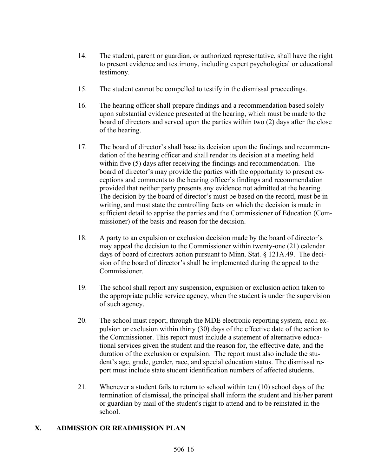- 14. The student, parent or guardian, or authorized representative, shall have the right to present evidence and testimony, including expert psychological or educational testimony.
- 15. The student cannot be compelled to testify in the dismissal proceedings.
- 16. The hearing officer shall prepare findings and a recommendation based solely upon substantial evidence presented at the hearing, which must be made to the board of directors and served upon the parties within two (2) days after the close of the hearing.
- 17. The board of director's shall base its decision upon the findings and recommendation of the hearing officer and shall render its decision at a meeting held within five (5) days after receiving the findings and recommendation. The board of director's may provide the parties with the opportunity to present exceptions and comments to the hearing officer's findings and recommendation provided that neither party presents any evidence not admitted at the hearing. The decision by the board of director's must be based on the record, must be in writing, and must state the controlling facts on which the decision is made in sufficient detail to apprise the parties and the Commissioner of Education (Commissioner) of the basis and reason for the decision.
- 18. A party to an expulsion or exclusion decision made by the board of director's may appeal the decision to the Commissioner within twenty-one (21) calendar days of board of directors action pursuant to Minn. Stat. § 121A.49. The decision of the board of director's shall be implemented during the appeal to the Commissioner.
- 19. The school shall report any suspension, expulsion or exclusion action taken to the appropriate public service agency, when the student is under the supervision of such agency.
- 20. The school must report, through the MDE electronic reporting system, each expulsion or exclusion within thirty (30) days of the effective date of the action to the Commissioner. This report must include a statement of alternative educational services given the student and the reason for, the effective date, and the duration of the exclusion or expulsion. The report must also include the student's age, grade, gender, race, and special education status. The dismissal report must include state student identification numbers of affected students.
- 21. Whenever a student fails to return to school within ten (10) school days of the termination of dismissal, the principal shall inform the student and his/her parent or guardian by mail of the student's right to attend and to be reinstated in the school.

# X. ADMISSION OR READMISSION PLAN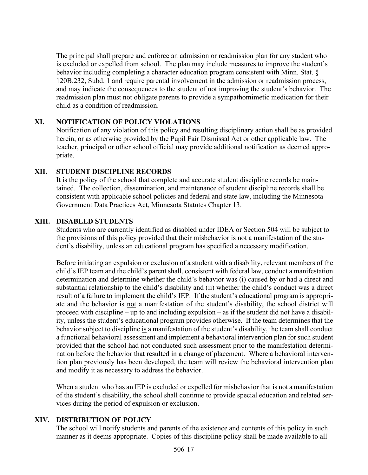The principal shall prepare and enforce an admission or readmission plan for any student who is excluded or expelled from school. The plan may include measures to improve the student's behavior including completing a character education program consistent with Minn. Stat. § 120B.232, Subd. 1 and require parental involvement in the admission or readmission process, and may indicate the consequences to the student of not improving the student's behavior. The readmission plan must not obligate parents to provide a sympathomimetic medication for their child as a condition of readmission.

# XI. NOTIFICATION OF POLICY VIOLATIONS

Notification of any violation of this policy and resulting disciplinary action shall be as provided herein, or as otherwise provided by the Pupil Fair Dismissal Act or other applicable law. The teacher, principal or other school official may provide additional notification as deemed appropriate.

### XII. STUDENT DISCIPLINE RECORDS

It is the policy of the school that complete and accurate student discipline records be maintained. The collection, dissemination, and maintenance of student discipline records shall be consistent with applicable school policies and federal and state law, including the Minnesota Government Data Practices Act, Minnesota Statutes Chapter 13.

### XIII. DISABLED STUDENTS

Students who are currently identified as disabled under IDEA or Section 504 will be subject to the provisions of this policy provided that their misbehavior is not a manifestation of the student's disability, unless an educational program has specified a necessary modification.

Before initiating an expulsion or exclusion of a student with a disability, relevant members of the child's IEP team and the child's parent shall, consistent with federal law, conduct a manifestation determination and determine whether the child's behavior was (i) caused by or had a direct and substantial relationship to the child's disability and (ii) whether the child's conduct was a direct result of a failure to implement the child's IEP. If the student's educational program is appropriate and the behavior is not a manifestation of the student's disability, the school district will proceed with discipline – up to and including expulsion – as if the student did not have a disability, unless the student's educational program provides otherwise. If the team determines that the behavior subject to discipline is a manifestation of the student's disability, the team shall conduct a functional behavioral assessment and implement a behavioral intervention plan for such student provided that the school had not conducted such assessment prior to the manifestation determination before the behavior that resulted in a change of placement. Where a behavioral intervention plan previously has been developed, the team will review the behavioral intervention plan and modify it as necessary to address the behavior.

When a student who has an IEP is excluded or expelled for misbehavior that is not a manifestation of the student's disability, the school shall continue to provide special education and related services during the period of expulsion or exclusion.

# XIV. DISTRIBUTION OF POLICY

The school will notify students and parents of the existence and contents of this policy in such manner as it deems appropriate. Copies of this discipline policy shall be made available to all